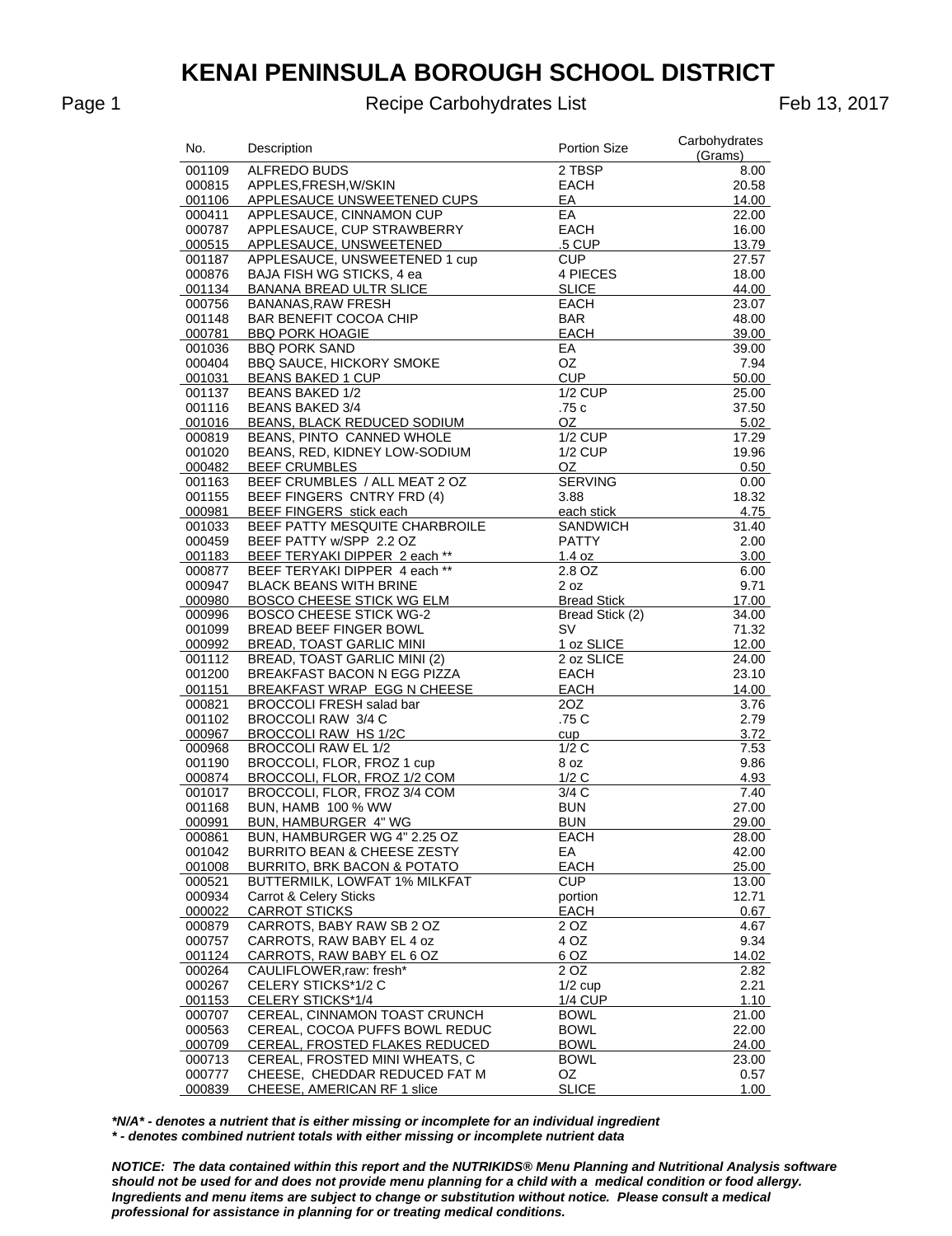Page 1 **Recipe Carbohydrates List** Feb 13, 2017

| No.              | Description                                                    | <b>Portion Size</b>    | Carbohydrates<br>(Grams) |
|------------------|----------------------------------------------------------------|------------------------|--------------------------|
| 001109           | ALFREDO BUDS                                                   | 2 TBSP                 | 8.00                     |
| 000815           | APPLES, FRESH, W/SKIN                                          | EACH                   | 20.58                    |
| 001106           | APPLESAUCE UNSWEETENED CUPS                                    | EA                     | 14.00                    |
| 000411           | APPLESAUCE, CINNAMON CUP                                       | EA                     | 22.00                    |
| 000787           | APPLESAUCE, CUP STRAWBERRY                                     | <b>EACH</b>            | 16.00                    |
| 000515           | APPLESAUCE, UNSWEETENED                                        | .5 CUP                 | 13.79                    |
| 001187           | APPLESAUCE, UNSWEETENED 1 cup                                  | <b>CUP</b>             | 27.57                    |
| 000876           | BAJA FISH WG STICKS, 4 ea                                      | 4 PIECES               | 18.00                    |
| 001134           | <b>BANANA BREAD ULTR SLICE</b>                                 | <b>SLICE</b>           | 44.00                    |
| 000756           | <b>BANANAS, RAW FRESH</b>                                      | <b>EACH</b>            | 23.07                    |
| 001148           | BAR BENEFIT COCOA CHIP                                         | BAR                    | 48.00                    |
| 000781           | <b>BBQ PORK HOAGIE</b>                                         | EACH                   | 39.00                    |
| 001036           | <b>BBQ PORK SAND</b>                                           | EA                     | 39.00                    |
| 000404           | <b>BBQ SAUCE, HICKORY SMOKE</b>                                | OZ                     | 7.94                     |
| 001031           | <b>BEANS BAKED 1 CUP</b>                                       | <b>CUP</b>             | 50.00                    |
| 001137           | <b>BEANS BAKED 1/2</b>                                         | <b>1/2 CUP</b>         | 25.00                    |
| 001116           | <b>BEANS BAKED 3/4</b>                                         | .75c                   | 37.50                    |
| 001016           | BEANS, BLACK REDUCED SODIUM                                    | OZ.                    | 5.02                     |
| 000819           | BEANS, PINTO CANNED WHOLE                                      | $1/2$ CUP              | 17.29                    |
| 001020           | BEANS, RED, KIDNEY LOW-SODIUM                                  | <b>1/2 CUP</b>         | 19.96                    |
| 000482           | <b>BEEF CRUMBLES</b>                                           | OZ                     | 0.50                     |
| 001163           | BEEF CRUMBLES / ALL MEAT 2 OZ                                  | <b>SERVING</b>         | 0.00                     |
| 001155           | BEEF FINGERS CNTRY FRD (4)                                     | 3.88                   | 18.32                    |
| 000981           | BEEF FINGERS stick each                                        | each stick             | 4.75                     |
| 001033           | BEEF PATTY MESQUITE CHARBROILE                                 | SANDWICH               | 31.40                    |
| 000459           | BEEF PATTY w/SPP 2.2 OZ                                        | <b>PATTY</b><br>1.4 oz | 2.00                     |
| 001183<br>000877 | BEEF TERYAKI DIPPER 2 each **<br>BEEF TERYAKI DIPPER 4 each ** | 2.8 OZ                 | 3.00<br>6.00             |
| 000947           | <b>BLACK BEANS WITH BRINE</b>                                  | 2 oz                   | 9.71                     |
| 000980           | BOSCO CHEESE STICK WG ELM                                      | <b>Bread Stick</b>     | 17.00                    |
| 000996           | <b>BOSCO CHEESE STICK WG-2</b>                                 | Bread Stick (2)        | 34.00                    |
| 001099           | BREAD BEEF FINGER BOWL                                         | <b>SV</b>              | 71.32                    |
| 000992           | <b>BREAD, TOAST GARLIC MINI</b>                                | 1 oz SLICE             | 12.00                    |
| 001112           | BREAD, TOAST GARLIC MINI (2)                                   | 2 oz SLICE             | 24.00                    |
| 001200           | BREAKFAST BACON N EGG PIZZA                                    | EACH                   | 23.10                    |
| 001151           | BREAKFAST WRAP EGG N CHEESE                                    | EACH                   | 14.00                    |
| 000821           | <b>BROCCOLI FRESH salad bar</b>                                | 20Z                    | 3.76                     |
| 001102           | BROCCOLI RAW 3/4 C                                             | .75 C                  | 2.79                     |
| 000967           | BROCCOLI RAW HS 1/2C                                           | cup                    | 3.72                     |
| 000968           | <b>BROCCOLI RAW EL 1/2</b>                                     | 1/2C                   | 7.53                     |
| 001190           | BROCCOLI, FLOR, FROZ 1 cup                                     | 8 oz                   | 9.86                     |
| 000874           | BROCCOLI, FLOR, FROZ 1/2 COM                                   | 1/2C                   | 4.93                     |
| 001017           | BROCCOLI, FLOR, FROZ 3/4 COM                                   | 3/4C                   | 7.40                     |
| 001168           | <b>BUN, HAMB 100 % WW</b>                                      | <b>BUN</b>             | 27.00                    |
| 000991           | BUN, HAMBURGER 4" WG                                           | <b>BUN</b>             | 29.00                    |
| 000861           | BUN, HAMBURGER WG 4" 2.25 OZ                                   | EACH                   | 28.00                    |
| 001042           | <b>BURRITO BEAN &amp; CHEESE ZESTY</b>                         | EА                     | 42.00                    |
| 001008           | BURRITO, BRK BACON & POTATO                                    | <b>EACH</b>            | 25.00                    |
| 000521           | BUTTERMILK, LOWFAT 1% MILKFAT                                  | <b>CUP</b>             | 13.00                    |
| 000934           | Carrot & Celery Sticks                                         | portion                | 12.71                    |
| 000022           | <b>CARROT STICKS</b>                                           | <b>EACH</b>            | 0.67                     |
| 000879           | CARROTS, BABY RAW SB 2 OZ                                      | 2 OZ                   | 4.67                     |
| 000757           | CARROTS, RAW BABY EL 4 oz                                      | 4 OZ                   | 9.34                     |
| 001124           | CARROTS, RAW BABY EL 6 OZ                                      | 6 OZ                   | 14.02                    |
| 000264           | CAULIFLOWER, raw: fresh*                                       | 2 OZ                   | 2.82                     |
| 000267           | CELERY STICKS*1/2 C                                            | $1/2$ cup              | 2.21                     |
| 001153           | CELERY STICKS*1/4                                              | 1/4 CUP                | 1.10                     |
| 000707           | CEREAL, CINNAMON TOAST CRUNCH                                  | <b>BOWL</b>            | 21.00                    |
| 000563           | CEREAL, COCOA PUFFS BOWL REDUC                                 | <b>BOWL</b>            | 22.00                    |
| 000709           | CEREAL, FROSTED FLAKES REDUCED                                 | <b>BOWL</b>            | 24.00                    |
| 000713           | CEREAL, FROSTED MINI WHEATS, C                                 | <b>BOWL</b>            | 23.00                    |
| 000777           | CHEESE, CHEDDAR REDUCED FAT M                                  | OZ                     | 0.57                     |
| 000839           | CHEESE, AMERICAN RF 1 slice                                    | <b>SLICE</b>           | 1.00                     |

*\*N/A\* - denotes a nutrient that is either missing or incomplete for an individual ingredient \* - denotes combined nutrient totals with either missing or incomplete nutrient data*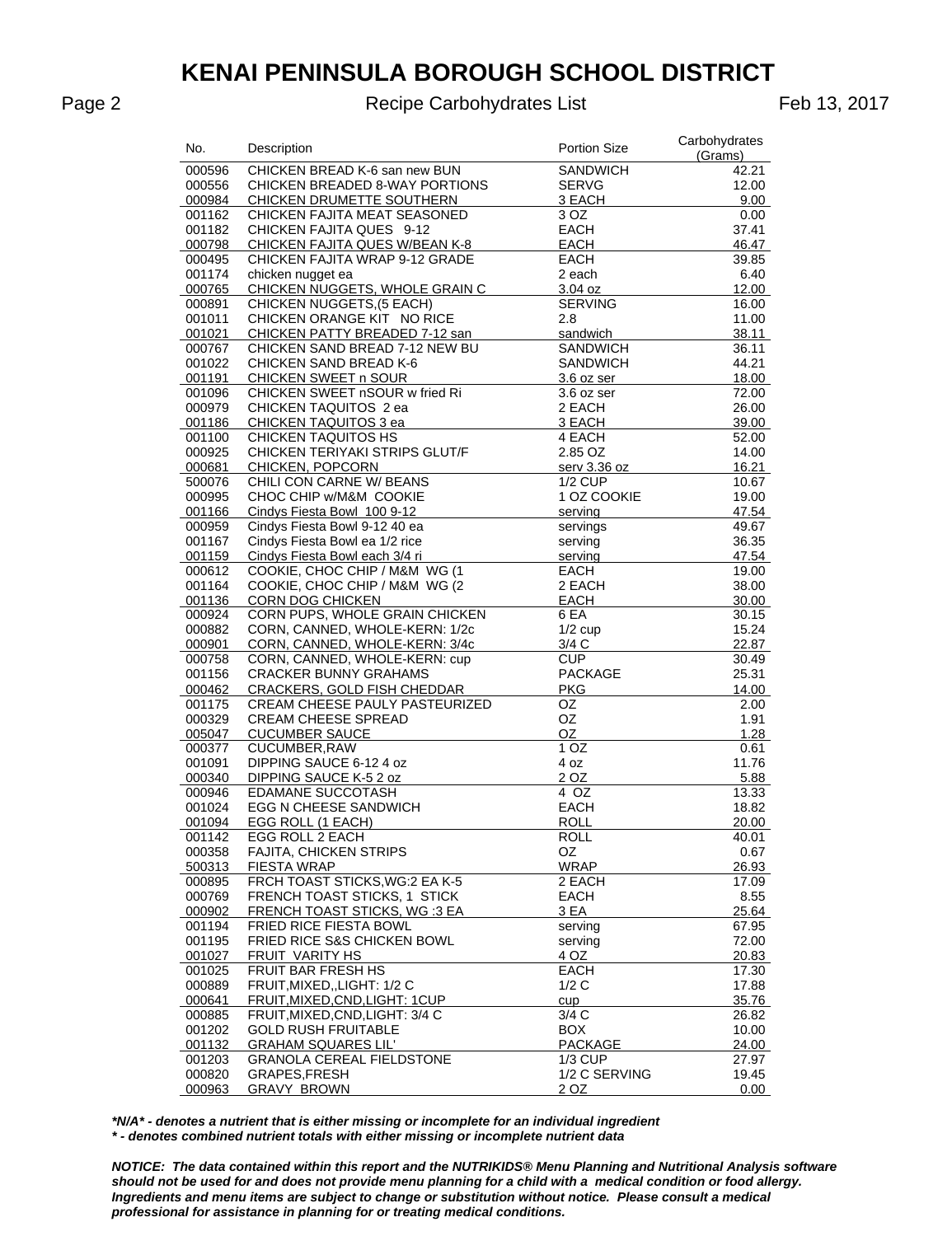Recipe Carbohydrates List

Feb 13, 2017

| No.    | Description                      | <b>Portion Size</b> | Carbohydrates<br>(Grams) |
|--------|----------------------------------|---------------------|--------------------------|
| 000596 | CHICKEN BREAD K-6 san new BUN    | <b>SANDWICH</b>     | 42.21                    |
| 000556 | CHICKEN BREADED 8-WAY PORTIONS   | <b>SERVG</b>        | 12.00                    |
| 000984 | CHICKEN DRUMETTE SOUTHERN        | 3 EACH              | 9.00                     |
| 001162 | CHICKEN FAJITA MEAT SEASONED     | 3 OZ                | 0.00                     |
| 001182 | CHICKEN FAJITA QUES 9-12         | <b>EACH</b>         | 37.41                    |
| 000798 | CHICKEN FAJITA QUES W/BEAN K-8   | EACH                | 46.47                    |
| 000495 | CHICKEN FAJITA WRAP 9-12 GRADE   | <b>EACH</b>         | 39.85                    |
| 001174 | chicken nugget ea                | 2 each              | 6.40                     |
| 000765 | CHICKEN NUGGETS, WHOLE GRAIN C   | 3.04 oz             | 12.00                    |
| 000891 | CHICKEN NUGGETS, (5 EACH)        | <b>SERVING</b>      | 16.00                    |
| 001011 | CHICKEN ORANGE KIT NO RICE       | 2.8                 | 11.00                    |
| 001021 | CHICKEN PATTY BREADED 7-12 san   | sandwich            | 38.11                    |
| 000767 | CHICKEN SAND BREAD 7-12 NEW BU   | <b>SANDWICH</b>     | 36.11                    |
| 001022 | <b>CHICKEN SAND BREAD K-6</b>    | SANDWICH            | 44.21                    |
| 001191 | CHICKEN SWEET n SOUR             | 3.6 oz ser          | 18.00                    |
| 001096 | CHICKEN SWEET nSOUR w fried Ri   | 3.6 oz ser          | 72.00                    |
| 000979 | CHICKEN TAQUITOS 2 ea            | 2 EACH              | 26.00                    |
| 001186 | CHICKEN TAQUITOS 3 ea            | 3 EACH              | 39.00                    |
| 001100 | CHICKEN TAQUITOS HS              | 4 EACH              | 52.00                    |
| 000925 | CHICKEN TERIYAKI STRIPS GLUT/F   | 2.85 OZ             | 14.00                    |
| 000681 | CHICKEN, POPCORN                 | serv 3.36 oz        | 16.21                    |
| 500076 | CHILI CON CARNE W/ BEANS         | <b>1/2 CUP</b>      | 10.67                    |
| 000995 | CHOC CHIP w/M&M COOKIE           | 1 OZ COOKIE         | 19.00                    |
| 001166 | Cindys Fiesta Bowl 100 9-12      | serving             | 47.54                    |
| 000959 | Cindys Fiesta Bowl 9-12 40 ea    | servings            | 49.67                    |
| 001167 | Cindys Fiesta Bowl ea 1/2 rice   | serving             | 36.35                    |
| 001159 | Cindys Fiesta Bowl each 3/4 ri   | serving             | 47.54                    |
| 000612 | COOKIE, CHOC CHIP / M&M WG (1    | EACH                | 19.00                    |
| 001164 | COOKIE, CHOC CHIP / M&M WG (2    | 2 EACH              | 38.00                    |
| 001136 | <b>CORN DOG CHICKEN</b>          | EACH                | 30.00                    |
| 000924 | CORN PUPS, WHOLE GRAIN CHICKEN   | 6 EA                | 30.15                    |
| 000882 | CORN, CANNED, WHOLE-KERN: 1/2c   | $1/2$ cup           | 15.24                    |
| 000901 | CORN, CANNED, WHOLE-KERN: 3/4c   | 3/4 C               | 22.87                    |
| 000758 | CORN, CANNED, WHOLE-KERN: cup    | <b>CUP</b>          | 30.49                    |
| 001156 | <b>CRACKER BUNNY GRAHAMS</b>     | <b>PACKAGE</b>      | 25.31                    |
| 000462 | CRACKERS, GOLD FISH CHEDDAR      | <b>PKG</b>          | 14.00                    |
| 001175 | CREAM CHEESE PAULY PASTEURIZED   | OZ                  | 2.00                     |
| 000329 | <b>CREAM CHEESE SPREAD</b>       | OZ                  | 1.91                     |
| 005047 | <b>CUCUMBER SAUCE</b>            | OZ                  | 1.28                     |
| 000377 | CUCUMBER, RAW                    | 1 OZ                | 0.61                     |
| 001091 | DIPPING SAUCE 6-12 4 oz          | 4 oz                | 11.76                    |
| 000340 | DIPPING SAUCE K-5 2 oz           | 2 OZ                | 5.88                     |
| 000946 | <b>EDAMANE SUCCOTASH</b>         | 4 OZ                | 13.33                    |
| 001024 | <b>EGG N CHEESE SANDWICH</b>     | <b>EACH</b>         | 18.82                    |
| 001094 | EGG ROLL (1 EACH)                | <b>ROLL</b>         | 20.00                    |
| 001142 | EGG ROLL 2 EACH                  | <b>ROLL</b>         | 40.01                    |
| 000358 | FAJITA, CHICKEN STRIPS           | OZ.                 | 0.67                     |
| 500313 | <b>FIESTA WRAP</b>               | <b>WRAP</b>         | 26.93                    |
| 000895 | FRCH TOAST STICKS, WG:2 EA K-5   | 2 EACH              | 17.09                    |
| 000769 | FRENCH TOAST STICKS, 1 STICK     | <b>EACH</b>         | 8.55                     |
| 000902 | FRENCH TOAST STICKS, WG:3 EA     | 3 EA                | 25.64                    |
| 001194 | FRIED RICE FIESTA BOWL           | serving             | 67.95                    |
| 001195 | FRIED RICE S&S CHICKEN BOWL      | serving             | 72.00                    |
| 001027 | FRUIT VARITY HS                  | 4 OZ                | 20.83                    |
| 001025 | FRUIT BAR FRESH HS               | <b>EACH</b>         | 17.30                    |
| 000889 | FRUIT, MIXED, , LIGHT: 1/2 C     | 1/2C                | 17.88                    |
| 000641 | FRUIT, MIXED, CND, LIGHT: 1CUP   | cup                 | 35.76                    |
| 000885 | FRUIT.MIXED.CND.LIGHT: 3/4 C     | 3/4 C               | 26.82                    |
| 001202 | <b>GOLD RUSH FRUITABLE</b>       | <b>BOX</b>          | 10.00                    |
| 001132 | <b>GRAHAM SQUARES LIL'</b>       | PACKAGE             | 24.00                    |
| 001203 | <b>GRANOLA CEREAL FIELDSTONE</b> | $1/3$ CUP           | 27.97                    |
| 000820 | <b>GRAPES,FRESH</b>              | 1/2 C SERVING       | 19.45                    |
| 000963 | <b>GRAVY BROWN</b>               | 2 OZ                | $0.00\,$                 |

\*N/A\* - denotes a nutrient that is either missing or incomplete for an individual ingredient \* - denotes combined nutrient totals with either missing or incomplete nutrient data

NOTICE: The data contained within this report and the NUTRIKIDS® Menu Planning and Nutritional Analysis software should not be used for and does not provide menu planning for a child with a medical condition or food allergy. Ingredients and menu items are subject to change or substitution without notice. Please consult a medical professional for assistance in planning for or treating medical conditions.

Page 2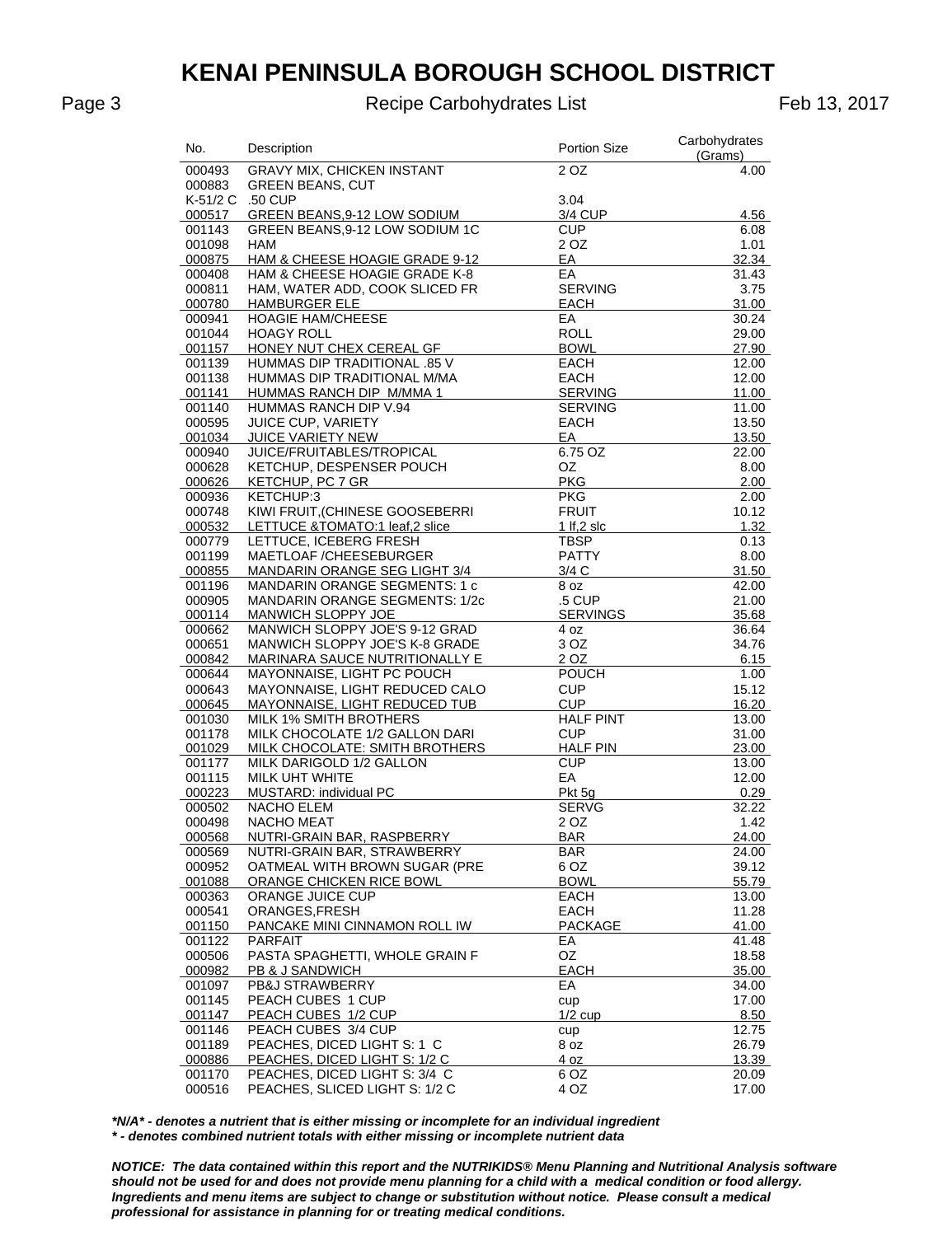#### Page 3 **Recipe Carbohydrates List** Feb 13, 2017

| No.              | Description                                                  | <b>Portion Size</b>    | Carbohydrates<br>(Grams) |
|------------------|--------------------------------------------------------------|------------------------|--------------------------|
| 000493           | <b>GRAVY MIX, CHICKEN INSTANT</b>                            | 2 OZ                   | 4.00                     |
| 000883           | <b>GREEN BEANS, CUT</b>                                      |                        |                          |
| K-51/2 C         | .50 CUP                                                      | 3.04                   |                          |
| 000517           | GREEN BEANS, 9-12 LOW SODIUM                                 | 3/4 CUP                | 4.56                     |
| 001143           | GREEN BEANS, 9-12 LOW SODIUM 1C                              | <b>CUP</b>             | 6.08                     |
| 001098           | HAM                                                          | 2 OZ                   | 1.01                     |
| 000875           | HAM & CHEESE HOAGIE GRADE 9-12                               | EA                     | 32.34                    |
| 000408           | HAM & CHEESE HOAGIE GRADE K-8                                | EA                     | 31.43                    |
| 000811           | HAM, WATER ADD, COOK SLICED FR                               | <b>SERVING</b>         | 3.75                     |
| 000780<br>000941 | <b>HAMBURGER ELE</b><br><b>HOAGIE HAM/CHEESE</b>             | <b>EACH</b><br>EA      | 31.00<br>30.24           |
| 001044           | <b>HOAGY ROLL</b>                                            | <b>ROLL</b>            | 29.00                    |
| 001157           | HONEY NUT CHEX CEREAL GF                                     | <b>BOWL</b>            | 27.90                    |
| 001139           | HUMMAS DIP TRADITIONAL .85 V                                 | <b>EACH</b>            | 12.00                    |
| 001138           | HUMMAS DIP TRADITIONAL M/MA                                  | EACH                   | 12.00                    |
| 001141           | HUMMAS RANCH DIP M/MMA 1                                     | <b>SERVING</b>         | 11.00                    |
| 001140           | HUMMAS RANCH DIP V.94                                        | <b>SERVING</b>         | 11.00                    |
| 000595           | <b>JUICE CUP, VARIETY</b>                                    | EACH                   | 13.50                    |
| 001034           | JUICE VARIETY NEW                                            | EA                     | 13.50                    |
| 000940           | JUICE/FRUITABLES/TROPICAL                                    | 6.75 OZ                | 22.00                    |
| 000628           | KETCHUP, DESPENSER POUCH                                     | ΟZ                     | 8.00                     |
| 000626           | KETCHUP, PC 7 GR                                             | <b>PKG</b>             | 2.00                     |
| 000936           | KETCHUP:3                                                    | <b>PKG</b>             | 2.00                     |
| 000748           | KIWI FRUIT, (CHINESE GOOSEBERRI                              | <b>FRUIT</b>           | 10.12                    |
| 000532           | LETTUCE &TOMATO:1 leaf,2 slice                               | 1 If, $2$ slc          | 1.32                     |
| 000779           | LETTUCE, ICEBERG FRESH                                       | <b>TBSP</b>            | 0.13                     |
| 001199           | MAETLOAF / CHEESEBURGER<br>MANDARIN ORANGE SEG LIGHT 3/4     | <b>PATTY</b><br>3/4C   | 8.00                     |
| 000855<br>001196 | MANDARIN ORANGE SEGMENTS: 1 c                                | 8 oz                   | 31.50<br>42.00           |
| 000905           | MANDARIN ORANGE SEGMENTS: 1/2c                               | .5 CUP                 | 21.00                    |
| 000114           | MANWICH SLOPPY JOE                                           | <b>SERVINGS</b>        | 35.68                    |
| 000662           | MANWICH SLOPPY JOE'S 9-12 GRAD                               | 4 oz                   | 36.64                    |
| 000651           | <b>MANWICH SLOPPY JOE'S K-8 GRADE</b>                        | 3 OZ                   | 34.76                    |
| 000842           | MARINARA SAUCE NUTRITIONALLY E                               | 2 OZ                   | 6.15                     |
| 000644           | MAYONNAISE, LIGHT PC POUCH                                   | <b>POUCH</b>           | 1.00                     |
| 000643           | MAYONNAISE, LIGHT REDUCED CALO                               | <b>CUP</b>             | 15.12                    |
| 000645           | MAYONNAISE, LIGHT REDUCED TUB                                | <b>CUP</b>             | 16.20                    |
| 001030           | MILK 1% SMITH BROTHERS                                       | <b>HALF PINT</b>       | 13.00                    |
| 001178           | MILK CHOCOLATE 1/2 GALLON DARI                               | <b>CUP</b>             | 31.00                    |
| 001029           | MILK CHOCOLATE: SMITH BROTHERS                               | <b>HALF PIN</b>        | 23.00                    |
| 001177           | MILK DARIGOLD 1/2 GALLON                                     | <b>CUP</b>             | 13.00                    |
| 001115           | MILK UHT WHITE                                               | EA                     | 12.00                    |
| 000223<br>000502 | MUSTARD: individual PC<br>NACHO ELEM                         | Pkt 5g<br><b>SERVG</b> | 0.29<br>32.22            |
| 000498           | <b>NACHO MEAT</b>                                            | 2 OZ                   | 1.42                     |
| 000568           | NUTRI-GRAIN BAR, RASPBERRY                                   | <b>BAR</b>             | 24.00                    |
| 000569           | NUTRI-GRAIN BAR, STRAWBERRY                                  | BAR                    | 24.00                    |
| 000952           | OATMEAL WITH BROWN SUGAR (PRE                                | 6 OZ                   | 39.12                    |
| 001088           | ORANGE CHICKEN RICE BOWL                                     | <b>BOWL</b>            | 55.79                    |
| 000363           | ORANGE JUICE CUP                                             | <b>EACH</b>            | 13.00                    |
| 000541           | ORANGES.FRESH                                                | EACH                   | 11.28                    |
| 001150           | PANCAKE MINI CINNAMON ROLL IW                                | <b>PACKAGE</b>         | 41.00                    |
| 001122           | <b>PARFAIT</b>                                               | EА                     | 41.48                    |
| 000506           | PASTA SPAGHETTI, WHOLE GRAIN F                               | OZ                     | 18.58                    |
| 000982           | PB & J SANDWICH                                              | EACH                   | 35.00                    |
| 001097           | PB&J STRAWBERRY                                              | EА                     | 34.00                    |
| 001145           | PEACH CUBES 1 CUP                                            | cup                    | 17.00                    |
| 001147           | PEACH CUBES 1/2 CUP                                          | $1/2$ cup              | 8.50                     |
| 001146           | PEACH CUBES 3/4 CUP                                          | cup                    | 12.75                    |
| 001189<br>000886 | PEACHES, DICED LIGHT S: 1 C<br>PEACHES, DICED LIGHT S: 1/2 C | 8 oz<br>4 oz           | 26.79<br>13.39           |
| 001170           | PEACHES, DICED LIGHT S: 3/4 C                                | 6 OZ                   | 20.09                    |
| 000516           | PEACHES, SLICED LIGHT S: 1/2 C                               | 4 OZ                   | 17.00                    |
|                  |                                                              |                        |                          |

*\*N/A\* - denotes a nutrient that is either missing or incomplete for an individual ingredient \* - denotes combined nutrient totals with either missing or incomplete nutrient data*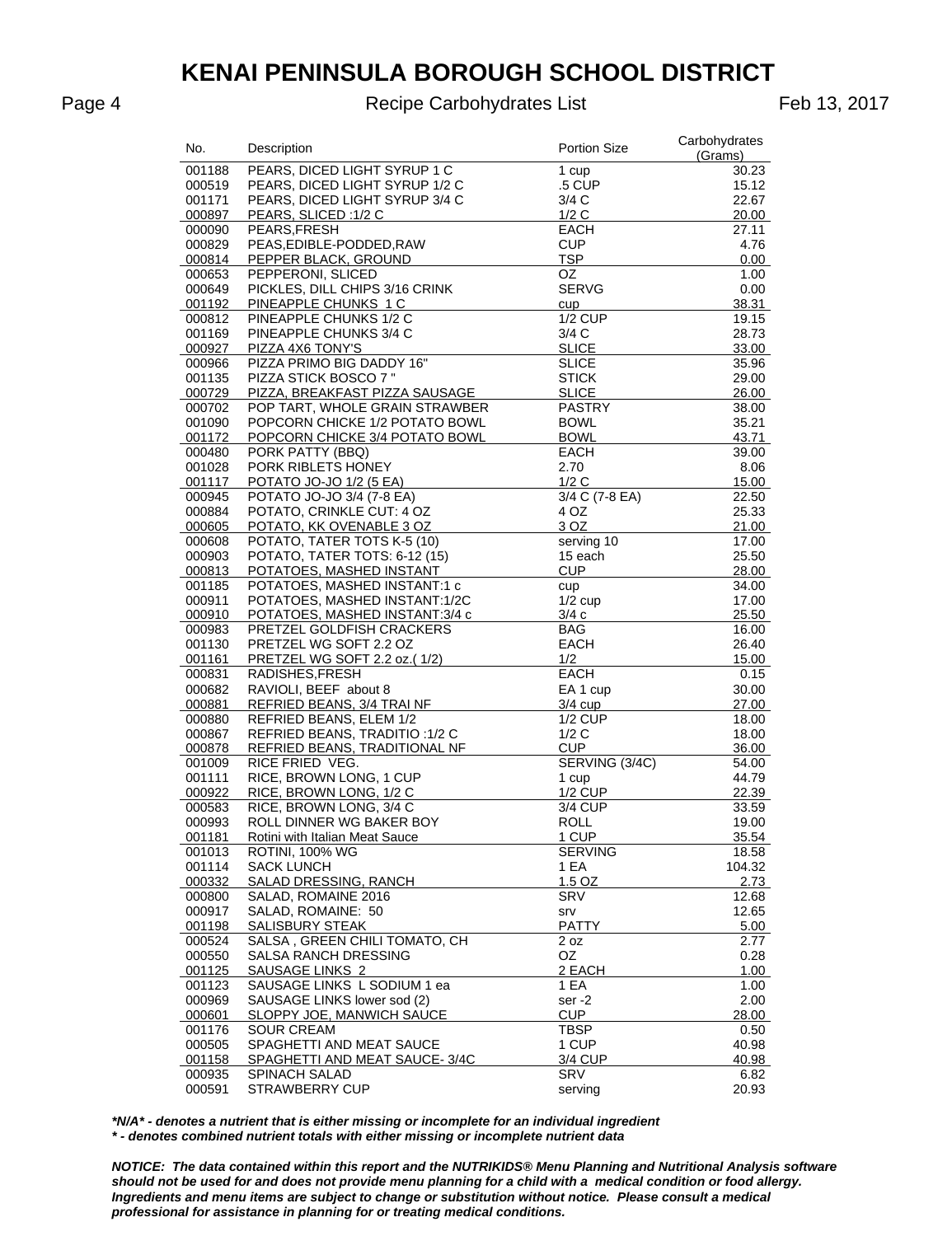Page 4 **Recipe Carbohydrates List** Feb 13, 2017

| No.              | Description                                                      | <b>Portion Size</b>          | Carbohydrates<br>(Grams) |
|------------------|------------------------------------------------------------------|------------------------------|--------------------------|
| 001188           | PEARS, DICED LIGHT SYRUP 1 C                                     | 1 cup                        | 30.23                    |
| 000519           | PEARS, DICED LIGHT SYRUP 1/2 C                                   | .5 CUP                       | 15.12                    |
| 001171           | PEARS, DICED LIGHT SYRUP 3/4 C                                   | 3/4 C                        | 22.67                    |
| 000897           | PEARS, SLICED: 1/2 C                                             | 1/2C                         | 20.00                    |
| 000090           | PEARS.FRESH                                                      | EACH                         | 27.11                    |
| 000829           | PEAS, EDIBLE-PODDED, RAW                                         | CUP                          | 4.76                     |
| 000814           | PEPPER BLACK, GROUND                                             | <b>TSP</b>                   | 0.00                     |
| 000653           | PEPPERONI, SLICED                                                | OZ                           | 1.00                     |
| 000649           | PICKLES, DILL CHIPS 3/16 CRINK                                   | <b>SERVG</b>                 | 0.00                     |
| 001192           | PINEAPPLE CHUNKS 1 C                                             | cup                          | 38.31                    |
| 000812           | PINEAPPLE CHUNKS 1/2 C                                           | $1/2$ CUP                    | 19.15                    |
| 001169           | PINEAPPLE CHUNKS 3/4 C                                           | 3/4 C                        | 28.73                    |
| 000927           | PIZZA 4X6 TONY'S                                                 | <b>SLICE</b>                 | 33.00                    |
| 000966           | PIZZA PRIMO BIG DADDY 16"                                        | <b>SLICE</b>                 | 35.96                    |
| 001135           | PIZZA STICK BOSCO 7"                                             | <b>STICK</b>                 | 29.00                    |
| 000729           | PIZZA, BREAKFAST PIZZA SAUSAGE                                   | <b>SLICE</b>                 | 26.00                    |
| 000702           | POP TART, WHOLE GRAIN STRAWBER<br>POPCORN CHICKE 1/2 POTATO BOWL | <b>PASTRY</b><br><b>BOWL</b> | 38.00                    |
| 001090<br>001172 | POPCORN CHICKE 3/4 POTATO BOWL                                   | <b>BOWL</b>                  | 35.21<br>43.71           |
| 000480           | PORK PATTY (BBQ)                                                 | EACH                         | 39.00                    |
| 001028           | PORK RIBLETS HONEY                                               | 2.70                         | 8.06                     |
| 001117           | POTATO JO-JO 1/2 (5 EA)                                          | 1/2C                         | 15.00                    |
| 000945           | POTATO JO-JO 3/4 (7-8 EA)                                        | 3/4 C (7-8 EA)               | 22.50                    |
| 000884           | POTATO, CRINKLE CUT: 4 OZ                                        | 4 OZ                         | 25.33                    |
| 000605           | POTATO, KK OVENABLE 3 OZ                                         | 3 OZ                         | 21.00                    |
| 000608           | POTATO, TATER TOTS K-5 (10)                                      | serving 10                   | 17.00                    |
| 000903           | POTATO, TATER TOTS: 6-12 (15)                                    | 15 each                      | 25.50                    |
| 000813           | POTATOES, MASHED INSTANT                                         | CUP                          | 28.00                    |
| 001185           | POTATOES, MASHED INSTANT:1 c                                     | cup                          | 34.00                    |
| 000911           | POTATOES, MASHED INSTANT:1/2C                                    | $1/2$ cup                    | 17.00                    |
| 000910           | POTATOES, MASHED INSTANT:3/4 c                                   | 3/4c                         | 25.50                    |
| 000983           | PRETZEL GOLDFISH CRACKERS                                        | BAG                          | 16.00                    |
| 001130           | PRETZEL WG SOFT 2.2 OZ                                           | EACH                         | 26.40                    |
| 001161           | PRETZEL WG SOFT 2.2 oz.(1/2)                                     | 1/2                          | 15.00                    |
| 000831           | RADISHES, FRESH                                                  | <b>EACH</b>                  | 0.15                     |
| 000682           | RAVIOLI, BEEF about 8                                            | EA 1 cup                     | 30.00                    |
| 000881           | REFRIED BEANS, 3/4 TRAINF                                        | 3/4 cup                      | 27.00                    |
| 000880           | REFRIED BEANS, ELEM 1/2                                          | $1/2$ CUP                    | 18.00                    |
| 000867           | REFRIED BEANS, TRADITIO: 1/2 C                                   | 1/2C                         | 18.00                    |
| 000878           | REFRIED BEANS, TRADITIONAL NF                                    | <b>CUP</b>                   | 36.00                    |
| 001009           | RICE FRIED VEG.                                                  | SERVING (3/4C)               | 54.00                    |
| 001111           | RICE, BROWN LONG, 1 CUP                                          | 1 cup                        | 44.79                    |
| 000922           | RICE, BROWN LONG, 1/2 C                                          | <b>1/2 CUP</b>               | 22.39                    |
| 000583           | RICE, BROWN LONG, 3/4 C                                          | 3/4 CUP                      | 33.59                    |
| 000993           | ROLL DINNER WG BAKER BOY                                         | ROLL                         | 19.00                    |
| 001181           | Rotini with Italian Meat Sauce                                   | <u>1 CUP</u>                 | 35.54                    |
| 001013           | <b>ROTINI, 100% WG</b>                                           | <b>SERVING</b>               | 18.58                    |
| 001114           | <b>SACK LUNCH</b>                                                | 1 EA                         | 104.32                   |
| 000332           | SALAD DRESSING, RANCH<br>SALAD, ROMAINE 2016                     | 1.5 OZ                       | 2.73                     |
| 000800           | SALAD, ROMAINE: 50                                               | <b>SRV</b>                   | 12.68                    |
| 000917<br>001198 | SALISBURY STEAK                                                  | srv<br><b>PATTY</b>          | 12.65<br>5.00            |
| 000524           | SALSA, GREEN CHILI TOMATO, CH                                    | 2 oz                         | 2.77                     |
| 000550           | SALSA RANCH DRESSING                                             | OZ                           | 0.28                     |
| 001125           | SAUSAGE LINKS 2                                                  | 2 EACH                       | 1.00                     |
| 001123           | SAUSAGE LINKS L SODIUM 1 ea                                      | 1 EA                         | 1.00                     |
| 000969           | SAUSAGE LINKS lower sod (2)                                      | ser-2                        | 2.00                     |
| 000601           | SLOPPY JOE, MANWICH SAUCE                                        | <b>CUP</b>                   | 28.00                    |
| 001176           | <b>SOUR CREAM</b>                                                | TBSP                         | 0.50                     |
| 000505           | SPAGHETTI AND MEAT SAUCE                                         | 1 CUP                        | 40.98                    |
| 001158           | SPAGHETTI AND MEAT SAUCE-3/4C                                    | 3/4 CUP                      | 40.98                    |
| 000935           | <b>SPINACH SALAD</b>                                             | SRV                          | 6.82                     |
| 000591           | <b>STRAWBERRY CUP</b>                                            | serving                      | 20.93                    |

*\*N/A\* - denotes a nutrient that is either missing or incomplete for an individual ingredient \* - denotes combined nutrient totals with either missing or incomplete nutrient data*